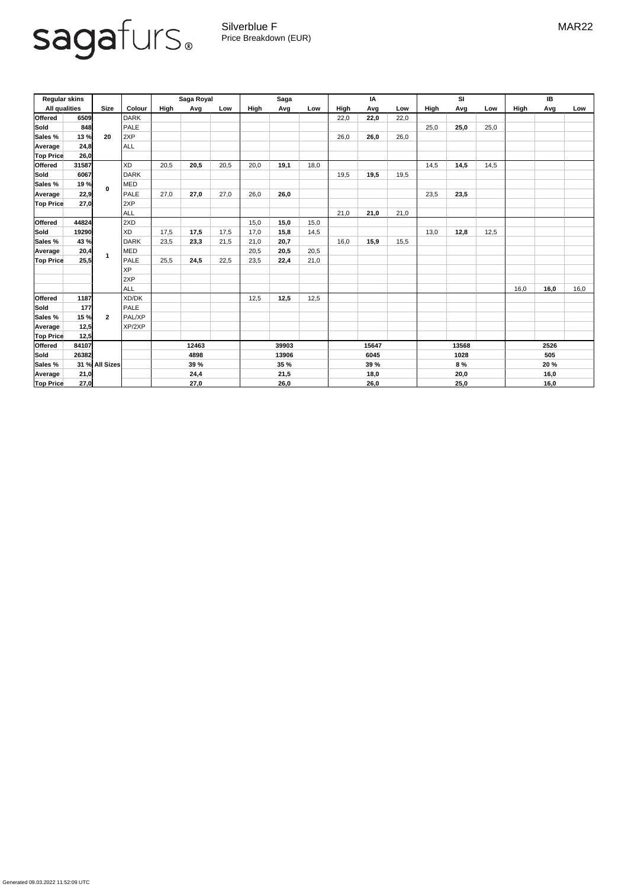Generated 09.03.2022 11:52:09 UTC

## sagafurs.

Silverblue F **MAR22** Price Breakdown (EUR)

| <b>Regular skins</b> |       |                |               | Saga Royal  |      |      | <b>Saga</b> |      |       | IA          |       |      | SI   |      |      | IB          |      |      |
|----------------------|-------|----------------|---------------|-------------|------|------|-------------|------|-------|-------------|-------|------|------|------|------|-------------|------|------|
| <b>All qualities</b> |       | <b>Size</b>    | <b>Colour</b> | <b>High</b> | Avg  | Low  | High        | Avg  | Low   | <b>High</b> | Avg   | Low  | High | Avg  | Low  | <b>High</b> | Avg  | Low  |
| <b>Offered</b>       | 6509  |                | DARK          |             |      |      |             |      |       | 22,0        | 22,0  | 22,0 |      |      |      |             |      |      |
| <b>Sold</b>          | 848   | 20             | PALE          |             |      |      |             |      |       |             |       |      | 25,0 | 25,0 | 25,0 |             |      |      |
| <b>Sales</b> %       | 13 %  |                | 2XP           |             |      |      |             |      |       | 26,0        | 26,0  | 26,0 |      |      |      |             |      |      |
| Average              | 24,8  |                | ALL           |             |      |      |             |      |       |             |       |      |      |      |      |             |      |      |
| <b>Top Price</b>     | 26,0  |                |               |             |      |      |             |      |       |             |       |      |      |      |      |             |      |      |
| <b>Offered</b>       | 31587 |                | <b>XD</b>     | 20,5        | 20,5 | 20,5 | 20,0        | 19,1 | 18,0  |             |       |      | 14,5 | 14,5 | 14,5 |             |      |      |
| <b>Sold</b>          | 6067  | $\mathbf 0$    | DARK          |             |      |      |             |      |       | 19,5        | 19,5  | 19,5 |      |      |      |             |      |      |
| <b>Sales %</b>       | 19 %  |                | MED           |             |      |      |             |      |       |             |       |      |      |      |      |             |      |      |
| Average              | 22,9  |                | <b>PALE</b>   | 27,0        | 27,0 | 27,0 | 26,0        | 26,0 |       |             |       |      | 23,5 | 23,5 |      |             |      |      |
| <b>Top Price</b>     | 27,0  |                | 2XP           |             |      |      |             |      |       |             |       |      |      |      |      |             |      |      |
|                      |       |                | ALL           |             |      |      |             |      |       | 21,0        | 21,0  | 21,0 |      |      |      |             |      |      |
| <b>Offered</b>       | 44824 |                | 2XD           |             |      |      | 15,0        | 15,0 | 15,0  |             |       |      |      |      |      |             |      |      |
| <b>Sold</b>          | 19290 |                | <b>XD</b>     | 17,5        | 17,5 | 17,5 | 17,0        | 15,8 | 14,5  |             |       |      | 13,0 | 12,8 | 12,5 |             |      |      |
| <b>Sales</b> %       | 43 %  |                | DARK          | 23,5        | 23,3 | 21,5 | 21,0        | 20,7 |       | 16,0        | 15,9  | 15,5 |      |      |      |             |      |      |
| Average              | 20,4  |                | MED           |             |      |      | 20,5        | 20,5 | 20,5  |             |       |      |      |      |      |             |      |      |
| <b>Top Price</b>     | 25,5  |                | <b>PALE</b>   | 25,5        | 24,5 | 22,5 | 23,5        | 22,4 | 21,0  |             |       |      |      |      |      |             |      |      |
|                      |       |                | <b>XP</b>     |             |      |      |             |      |       |             |       |      |      |      |      |             |      |      |
|                      |       |                | 2XP           |             |      |      |             |      |       |             |       |      |      |      |      |             |      |      |
|                      |       |                | ALL           |             |      |      |             |      |       |             |       |      |      |      |      | 16,0        | 16,0 | 16,0 |
| <b>Offered</b>       | 1187  |                | <b>XD/DK</b>  |             |      |      | 12,5        | 12,5 | 12,5  |             |       |      |      |      |      |             |      |      |
| <b>Sold</b>          | 177   |                | <b>PALE</b>   |             |      |      |             |      |       |             |       |      |      |      |      |             |      |      |
| <b>Sales %</b>       | 15 %  | $\mathbf{2}$   | <b>PAL/XP</b> |             |      |      |             |      |       |             |       |      |      |      |      |             |      |      |
| Average              | 12,5  |                | XP/2XP        |             |      |      |             |      |       |             |       |      |      |      |      |             |      |      |
| <b>Top Price</b>     | 12,5  |                |               |             |      |      |             |      |       |             |       |      |      |      |      |             |      |      |
| <b>Offered</b>       | 84107 |                |               | 12463       |      |      | 39903       |      | 15647 |             | 13568 |      |      | 2526 |      |             |      |      |
| <b>Sold</b>          | 26382 |                |               | 4898        |      |      | 13906       |      |       | 6045        |       | 1028 |      |      | 505  |             |      |      |
| <b>Sales %</b>       |       | 31 % All Sizes |               | 39 %        |      |      | <b>35 %</b> |      |       | <b>39 %</b> |       |      | 8%   |      |      | 20 %        |      |      |
| <b>Average</b>       | 21,0  |                |               | 24,4        |      |      | 21,5        |      | 18,0  |             | 20,0  |      |      | 16,0 |      |             |      |      |
| <b>Top Price</b>     | 27,0  |                |               | 27,0        |      |      | 26,0        |      | 26,0  |             |       | 25,0 |      |      | 16,0 |             |      |      |